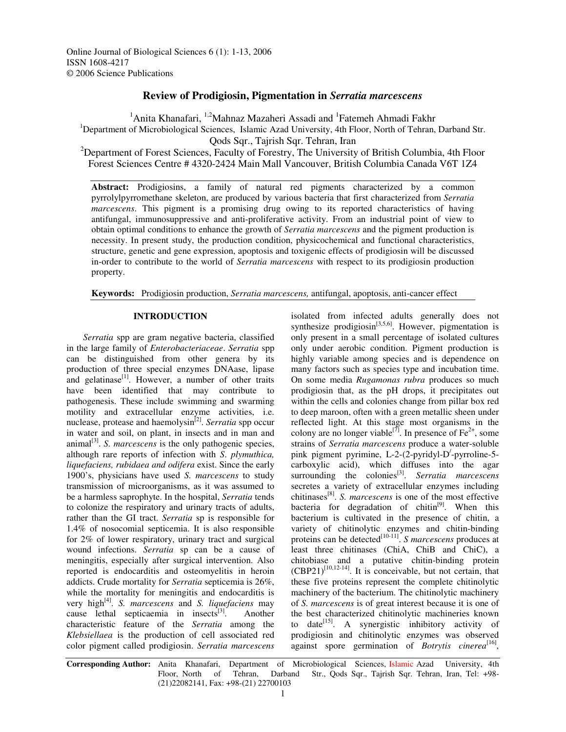Online Journal of Biological Sciences 6 (1): 1-13, 2006 ISSN 1608-4217 © 2006 Science Publications

# **Review of Prodigiosin, Pigmentation in** *Serratia marcescens*

<sup>1</sup>Anita Khanafari, <sup>1,2</sup>Mahnaz Mazaheri Assadi and <sup>1</sup>Fatemeh Ahmadi Fakhr <sup>1</sup>Department of Microbiological Sciences, Islamic Azad University, 4th Floor, North of Tehran, Darband Str. Qods Sqr., Tajrish Sqr. Tehran, Iran <sup>2</sup>Department of Forest Sciences, Faculty of Forestry, The University of British Columbia, 4th Floor Forest Sciences Centre # 4320-2424 Main Mall Vancouver, British Columbia Canada V6T 1Z4

**Abstract:** Prodigiosins, a family of natural red pigments characterized by a common pyrrolylpyrromethane skeleton, are produced by various bacteria that first characterized from *Serratia marcescens*. This pigment is a promising drug owing to its reported characteristics of having antifungal, immunosuppressive and anti-proliferative activity. From an industrial point of view to obtain optimal conditions to enhance the growth of *Serratia marcescens* and the pigment production is necessity. In present study, the production condition, physicochemical and functional characteristics, structure, genetic and gene expression, apoptosis and toxigenic effects of prodigiosin will be discussed in-order to contribute to the world of *Serratia marcescens* with respect to its prodigiosin production property.

**Keywords:** Prodigiosin production, *Serratia marcescens,* antifungal, apoptosis, anti-cancer effect

### **INTRODUCTION**

*Serratia* spp are gram negative bacteria, classified in the large family of *Enterobacteriaceae*. *Serratia* spp can be distinguished from other genera by its production of three special enzymes DNAase, lipase and gelatinase<sup>[1]</sup>. However, a number of other traits have been identified that may contribute to pathogenesis. These include swimming and swarming motility and extracellular enzyme activities, i.e. nuclease, protease and haemolysin<sup>[2]</sup>. *Serratia* spp occur in water and soil, on plant, in insects and in man and animal $^{[3]}$ . *S. marcescens* is the only pathogenic species, although rare reports of infection with *S*. *plymuthica, liquefaciens, rubidaea and odifera* exist. Since the early 1900's, physicians have used *S. marcescens* to study transmission of microorganisms, as it was assumed to be a harmless saprophyte. In the hospital, *Serratia* tends to colonize the respiratory and urinary tracts of adults, rather than the GI tract. *Serratia* sp is responsible for 1.4% of nosocomial septicemia. It is also responsible for 2% of lower respiratory, urinary tract and surgical wound infections. *Serratia* sp can be a cause of meningitis, especially after surgical intervention. Also reported is endocarditis and osteomyelitis in heroin addicts. Crude mortality for *Serratia* septicemia is 26%, while the mortality for meningitis and endocarditis is very high [4] . *S. marcescens* and *S. liquefaciens* may cause lethal septicaemia in insects<sup>[3]</sup> . Another characteristic feature of the *Serratia* among the *Klebsiellaea* is the production of cell associated red color pigment called prodigiosin. *Serratia marcescens*

isolated from infected adults generally does not synthesize prodigiosin<sup>[3,5,6]</sup>. However, pigmentation is only present in a small percentage of isolated cultures only under aerobic condition. Pigment production is highly variable among species and is dependence on many factors such as species type and incubation time. On some media *Rugamonas rubra* produces so much prodigiosin that, as the pH drops, it precipitates out within the cells and colonies change from pillar box red to deep maroon, often with a green metallic sheen under reflected light. At this stage most organisms in the colony are no longer viable<sup>[7]</sup>. In presence of Fe<sup>2+</sup>, some strains of *Serratia marcescens* produce a water-soluble pink pigment pyrimine, L-2-(2-pyridyl-D'-pyrroline-5carboxylic acid), which diffuses into the agar surrounding the colonies [3] . *Serratia marcescens* secretes a variety of extracellular enzymes including chitinases [8] . *S. marcescens* is one of the most effective bacteria for degradation of chitin<sup>[9]</sup>. When this bacterium is cultivated in the presence of chitin, a variety of chitinolytic enzymes and chitin-binding proteins can be detected<sup>[10-11]</sup>. *S marcescens* produces at least three chitinases (ChiA, ChiB and ChiC), a chitobiase and a putative chitin-binding protein  $(CBP21)^{[10,12-14]}$ . It is conceivable, but not certain, that these five proteins represent the complete chitinolytic machinery of the bacterium. The chitinolytic machinery of *S. marcescens* is of great interest because it is one of the best characterized chitinolytic machineries known to date<sup>[15]</sup>. A synergistic inhibitory activity of prodigiosin and chitinolytic enzymes was observed against spore germination of *Botrytis cinerea*<sup>[16]</sup>,

**Corresponding Author:** Anita Khanafari, Department of Microbiological Sciences, Islamic Azad University, 4th Floor, North of Tehran, Darband Str., Qods Sqr., Tajrish Sqr. Tehran, Iran, Tel: +98- (21)22082141, Fax: +98-(21) 22700103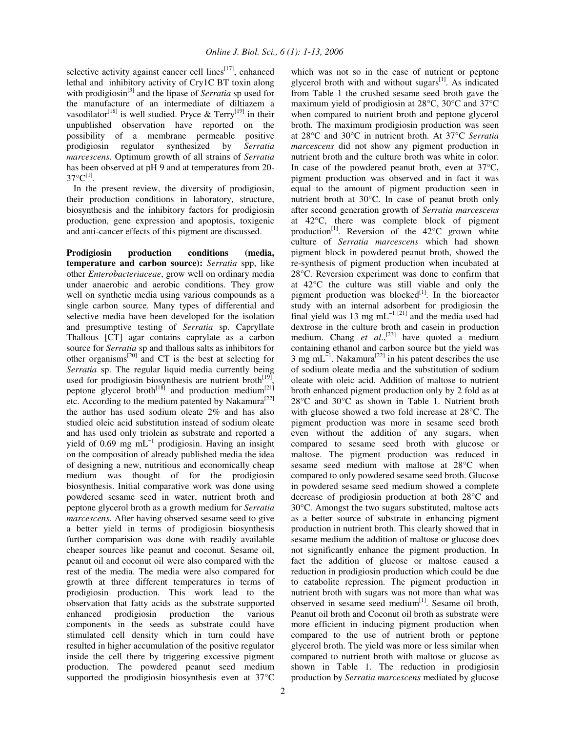selective activity against cancer cell lines<sup>[17]</sup>, enhanced lethal and inhibitory activity of Cry1C BT toxin along with prodigiosin<sup>[3]</sup> and the lipase of *Serratia* sp used for the manufacture of an intermediate of diltiazem a vasodilator<sup>[18]</sup> is well studied. Pryce & Terry<sup>[19]</sup> in their unpublished observation have reported on the possibility of a membrane permeable positive prodigiosin regulator synthesized by *Serratia marcescens*. Optimum growth of all strains of *Serratia* has been observed at pH 9 and at temperatures from 20-  $37^{\circ}C^{[1]}$ .

In the present review, the diversity of prodigiosin, their production conditions in laboratory, structure, biosynthesis and the inhibitory factors for prodigiosin production, gene expression and apoptosis, toxigenic and anti-cancer effects of this pigment are discussed.

**Prodigiosin production conditions (media, temperature and carbon source):** *Serratia* spp, like other *Enterobacteriaceae*, grow well on ordinary media under anaerobic and aerobic conditions. They grow well on synthetic media using various compounds as a single carbon source. Many types of differential and selective media have been developed for the isolation and presumptive testing of *Serratia* sp. Capryllate Thallous [CT] agar contains caprylate as a carbon source for *Serratia* sp and thallous salts as inhibitors for other organisms<sup>[20]</sup> and CT is the best at selecting for *Serratia* sp. The regular liquid media currently being used for prodigiosin biosynthesis are nutrient broth<sup>[19]</sup>, peptone glycerol broth<sup>[18]</sup> and production medium<sup>[21]</sup> etc. According to the medium patented by Nakamura<sup>[22]</sup> the author has used sodium oleate 2% and has also studied oleic acid substitution instead of sodium oleate and has used only triolein as substrate and reported a yield of 0.69 mg mL<sup>-1</sup> prodigiosin. Having an insight on the composition of already published media the idea of designing a new, nutritious and economically cheap medium was thought of for the prodigiosin biosynthesis. Initial comparative work was done using powdered sesame seed in water, nutrient broth and peptone glycerol broth as a growth medium for *Serratia marcescens*. After having observed sesame seed to give a better yield in terms of prodigiosin biosynthesis further comparision was done with readily available cheaper sources like peanut and coconut. Sesame oil, peanut oil and coconut oil were also compared with the rest of the media. The media were also compared for growth at three different temperatures in terms of prodigiosin production. This work lead to the observation that fatty acids as the substrate supported enhanced prodigiosin production the various components in the seeds as substrate could have stimulated cell density which in turn could have resulted in higher accumulation of the positive regulator inside the cell there by triggering excessive pigment production. The powdered peanut seed medium supported the prodigiosin biosynthesis even at 37°C

which was not so in the case of nutrient or peptone glycerol broth with and without sugars<sup>[1]</sup>. As indicated from Table 1 the crushed sesame seed broth gave the maximum yield of prodigiosin at 28°C, 30°C and 37°C when compared to nutrient broth and peptone glycerol broth. The maximum prodigiosin production was seen at 28°C and 30°C in nutrient broth. At 37°C *Serratia marcescens* did not show any pigment production in nutrient broth and the culture broth was white in color. In case of the powdered peanut broth, even at 37°C, pigment production was observed and in fact it was equal to the amount of pigment production seen in nutrient broth at 30°C. In case of peanut broth only after second generation growth of *Serratia marcescens* at 42°C, there was complete block of pigment production<sup>[1]</sup>. Reversion of the 42°C grown white culture of *Serratia marcescens* which had shown pigment block in powdered peanut broth, showed the re-synthesis of pigment production when incubated at 28°C. Reversion experiment was done to confirm that at 42°C the culture was still viable and only the pigment production was blocked<sup>[1]</sup>. In the bioreactor study with an internal adsorbent for prodigiosin the final yield was 13 mg  $mL^{-1}$ <sup>[21]</sup> and the media used had dextrose in the culture broth and casein in production medium. Chang *et al.*<sup>[23]</sup> have quoted a medium containing ethanol and carbon source but the yield was 3 mg m $L^{-1}$ . Nakamura<sup>[22]</sup> in his patent describes the use of sodium oleate media and the substitution of sodium oleate with oleic acid. Addition of maltose to nutrient broth enhanced pigment production only by 2 fold as at 28°C and 30°C as shown in Table 1. Nutrient broth with glucose showed a two fold increase at 28°C. The pigment production was more in sesame seed broth even without the addition of any sugars, when compared to sesame seed broth with glucose or maltose. The pigment production was reduced in sesame seed medium with maltose at 28°C when compared to only powdered sesame seed broth. Glucose in powdered sesame seed medium showed a complete decrease of prodigiosin production at both 28°C and 30°C. Amongst the two sugars substituted, maltose acts as a better source of substrate in enhancing pigment production in nutrient broth. This clearly showed that in sesame medium the addition of maltose or glucose does not significantly enhance the pigment production. In fact the addition of glucose or maltose caused a reduction in prodigiosin production which could be due to catabolite repression. The pigment production in nutrient broth with sugars was not more than what was observed in sesame seed medium<sup>[1]</sup>. Sesame oil broth, Peanut oil broth and Coconut oil broth as substrate were more efficient in inducing pigment production when compared to the use of nutrient broth or peptone glycerol broth. The yield was more or less similar when compared to nutrient broth with maltose or glucose as shown in Table 1. The reduction in prodigiosin production by *Serratia marcescens* mediated by glucose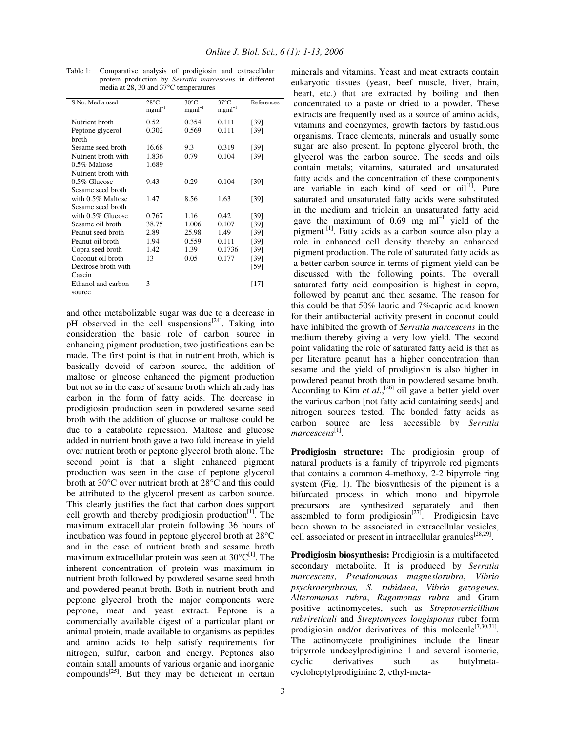| S.No: Media used     | $28^{\circ}$ C | $30^{\circ}$ C | $37^{\circ}$ C | References |
|----------------------|----------------|----------------|----------------|------------|
|                      | $mgml^{-1}$    | $mgml^{-1}$    | $mgml^{-1}$    |            |
| Nutrient broth       | 0.52           | 0.354          | 0.111          | [39]       |
| Peptone glycerol     | 0.302          | 0.569          | 0.111          | [39]       |
| hroth                |                |                |                |            |
| Sesame seed broth    | 16.68          | 9.3            | 0.319          | $[39]$     |
| Nutrient broth with  | 1.836          | 0.79           | 0.104          | [39]       |
| $0.5\%$ Maltose      | 1.689          |                |                |            |
| Nutrient broth with  |                |                |                |            |
| $0.5\%$ Glucose      | 9.43           | 0.29           | 0.104          | [39]       |
| Sesame seed broth    |                |                |                |            |
| with $0.5\%$ Maltose | 1.47           | 8.56           | 1.63           | [39]       |
| Sesame seed broth    |                |                |                |            |
| with $0.5\%$ Glucose | 0.767          | 1.16           | 0.42           | [39]       |
| Sesame oil broth     | 38.75          | 1.006          | 0.107          | [39]       |
| Peanut seed broth    | 2.89           | 25.98          | 1.49           | [39]       |
| Peanut oil broth     | 1.94           | 0.559          | 0.111          | [39]       |
| Copra seed broth     | 1.42           | 1.39           | 0.1736         | [39]       |
| Coconut oil broth    | 13             | 0.05           | 0.177          | [39]       |
| Dextrose broth with  |                |                |                | [59]       |
| Casein               |                |                |                |            |
| Ethanol and carbon   | 3              |                |                | $[17]$     |
| source               |                |                |                |            |

Table 1: Comparative analysis of prodigiosin and extracellular protein production by *Serratia marcescens* in different media at 28, 30 and 37°C temperatures

and other metabolizable sugar was due to a decrease in pH observed in the cell suspensions<sup>[24]</sup>. Taking into consideration the basic role of carbon source in enhancing pigment production, two justifications can be made. The first point is that in nutrient broth, which is basically devoid of carbon source, the addition of maltose or glucose enhanced the pigment production but not so in the case of sesame broth which already has carbon in the form of fatty acids. The decrease in prodigiosin production seen in powdered sesame seed broth with the addition of glucose or maltose could be due to a catabolite repression. Maltose and glucose added in nutrient broth gave a two fold increase in yield over nutrient broth or peptone glycerol broth alone. The second point is that a slight enhanced pigment production was seen in the case of peptone glycerol broth at 30°C over nutrient broth at 28°C and this could be attributed to the glycerol present as carbon source. This clearly justifies the fact that carbon does support cell growth and thereby prodigiosin production<sup>[1]</sup>. The maximum extracellular protein following 36 hours of incubation was found in peptone glycerol broth at 28°C and in the case of nutrient broth and sesame broth maximum extracellular protein was seen at  $30^{\circ}C^{[1]}$ . The inherent concentration of protein was maximum in nutrient broth followed by powdered sesame seed broth and powdered peanut broth. Both in nutrient broth and peptone glycerol broth the major components were peptone, meat and yeast extract. Peptone is a commercially available digest of a particular plant or animal protein, made available to organisms as peptides and amino acids to help satisfy requirements for nitrogen, sulfur, carbon and energy. Peptones also contain small amounts of various organic and inorganic compounds<sup>[25]</sup>. But they may be deficient in certain

minerals and vitamins. Yeast and meat extracts contain eukaryotic tissues (yeast, beef muscle, liver, brain, heart, etc.) that are extracted by boiling and then concentrated to a paste or dried to a powder. These extracts are frequently used as a source of amino acids, vitamins and coenzymes, growth factors by fastidious organisms. Trace elements, minerals and usually some sugar are also present. In peptone glycerol broth, the glycerol was the carbon source. The seeds and oils contain metals; vitamins, saturated and unsaturated fatty acids and the concentration of these components are variable in each kind of seed or  $\text{oil}^{[1]}$ . Pure saturated and unsaturated fatty acids were substituted in the medium and triolein an unsaturated fatty acid gave the maximum of  $0.69$  mg ml<sup>-1</sup> yield of the pigment <sup>[1]</sup>. Fatty acids as a carbon source also play a role in enhanced cell density thereby an enhanced pigment production. The role of saturated fatty acids as a better carbon source in terms of pigment yield can be discussed with the following points. The overall saturated fatty acid composition is highest in copra, followed by peanut and then sesame. The reason for this could be that 50% lauric and 7%capric acid known for their antibacterial activity present in coconut could have inhibited the growth of *Serratia marcescens* in the medium thereby giving a very low yield. The second point validating the role of saturated fatty acid is that as per literature peanut has a higher concentration than sesame and the yield of prodigiosin is also higher in powdered peanut broth than in powdered sesame broth. According to Kim *et al*., [26] oil gave a better yield over the various carbon [not fatty acid containing seeds] and nitrogen sources tested. The bonded fatty acids as carbon source are less accessible by *Serratia* marcescens<sup>[1]</sup>.

**Prodigiosin structure:** The prodigiosin group of natural products is a family of tripyrrole red pigments that contains a common 4-methoxy, 2-2 bipyrrole ring system (Fig. 1). The biosynthesis of the pigment is a bifurcated process in which mono and bipyrrole precursors are synthesized separately and then assembled to form prodigiosin<sup>[27]</sup>. Prodigiosin have been shown to be associated in extracellular vesicles, cell associated or present in intracellular granules<sup>[28,29]</sup>.

**Prodigiosin biosynthesis:** Prodigiosin is a multifaceted secondary metabolite. It is produced by *Serratia marcescens*, *Pseudomonas magneslorubra*, *Vibrio psychroerythrous, S. rubidaea*, *Vibrio gazogenes*, *Alteromonas rubra*, *Rugamonas rubra* and Gram positive actinomycetes, such as *Streptoverticillium rubrireticuli* and *Streptomyces longisporus* ruber form prodigiosin and/or derivatives of this molecule<sup>[7,30,31]</sup>. The actinomycete prodiginines include the linear tripyrrole undecylprodiginine 1 and several isomeric, cyclic derivatives such as butylmetacycloheptylprodiginine 2, ethyl-meta-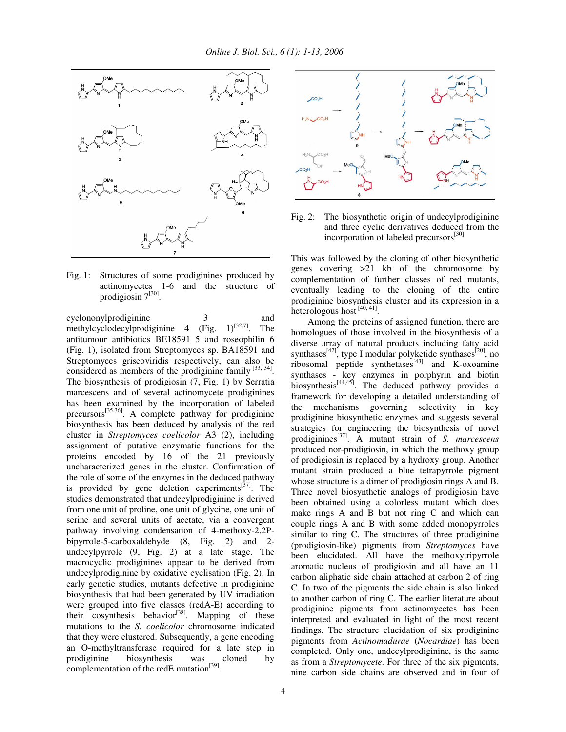

Fig. 1: Structures of some prodiginines produced by actinomycetes 1-6 and the structure of prodigiosin 7[30].

cyclononylprodiginine 3 and methylcyclodecylprodiginine 4 (Fig.  $1$ )<sup>[32,7]</sup> . The antitumour antibiotics BE18591 5 and roseophilin 6 (Fig. 1), isolated from Streptomyces sp. BA18591 and Streptomyces griseoviridis respectively, can also be considered as members of the prodiginine family  $^{[33, 34]}$ . The biosynthesis of prodigiosin (7, Fig. 1) by Serratia marcescens and of several actinomycete prodiginines has been examined by the incorporation of labeled precursors<sup>[35,36]</sup>. A complete pathway for prodiginine biosynthesis has been deduced by analysis of the red cluster in *Streptomyces coelicolor* A3 (2), including assignment of putative enzymatic functions for the proteins encoded by 16 of the 21 previously uncharacterized genes in the cluster. Confirmation of the role of some of the enzymes in the deduced pathway is provided by gene deletion experiments $[37]$ . The studies demonstrated that undecylprodiginine is derived from one unit of proline, one unit of glycine, one unit of serine and several units of acetate, via a convergent pathway involving condensation of 4-methoxy-2,2Pbipyrrole-5-carboxaldehyde (8, Fig. 2) and 2 undecylpyrrole (9, Fig. 2) at a late stage. The macrocyclic prodiginines appear to be derived from undecylprodiginine by oxidative cyclisation (Fig. 2). In early genetic studies, mutants defective in prodiginine biosynthesis that had been generated by UV irradiation were grouped into five classes (redA-E) according to their cosynthesis behavior<sup>[38]</sup>. Mapping of these mutations to the *S. coelicolor* chromosome indicated that they were clustered. Subsequently, a gene encoding an O-methyltransferase required for a late step in prodiginine biosynthesis was cloned by complementation of the redE mutation<sup>[39]</sup>.



Fig. 2: The biosynthetic origin of undecylprodiginine and three cyclic derivatives deduced from the incorporation of labeled precursors<sup>[30]</sup>

This was followed by the cloning of other biosynthetic genes covering >21 kb of the chromosome by complementation of further classes of red mutants, eventually leading to the cloning of the entire prodiginine biosynthesis cluster and its expression in a heterologous host  $[40, 41]$ .

Among the proteins of assigned function, there are homologues of those involved in the biosynthesis of a diverse array of natural products including fatty acid synthases<sup>[42]</sup>, type I modular polyketide synthases<sup>[20]</sup>, no ribosomal peptide synthetases<sup>[43]</sup> and K-oxoamine synthases - key enzymes in porphyrin and biotin biosynthesis<sup>[44,45]</sup>. The deduced pathway provides a framework for developing a detailed understanding of the mechanisms governing selectivity in key prodiginine biosynthetic enzymes and suggests several strategies for engineering the biosynthesis of novel prodiginines [37] . A mutant strain of *S. marcescens* produced nor-prodigiosin, in which the methoxy group of prodigiosin is replaced by a hydroxy group. Another mutant strain produced a blue tetrapyrrole pigment whose structure is a dimer of prodigiosin rings A and B. Three novel biosynthetic analogs of prodigiosin have been obtained using a colorless mutant which does make rings A and B but not ring C and which can couple rings A and B with some added monopyrroles similar to ring C. The structures of three prodiginine (prodigiosin-like) pigments from *Streptomyces* have been elucidated. All have the methoxytripyrrole aromatic nucleus of prodigiosin and all have an 11 carbon aliphatic side chain attached at carbon 2 of ring C. In two of the pigments the side chain is also linked to another carbon of ring C. The earlier literature about prodiginine pigments from actinomycetes has been interpreted and evaluated in light of the most recent findings. The structure elucidation of six prodiginine pigments from *Actinomadurae* (*Nocardiae*) has been completed. Only one, undecylprodiginine, is the same as from a *Streptomycete*. For three of the six pigments, nine carbon side chains are observed and in four of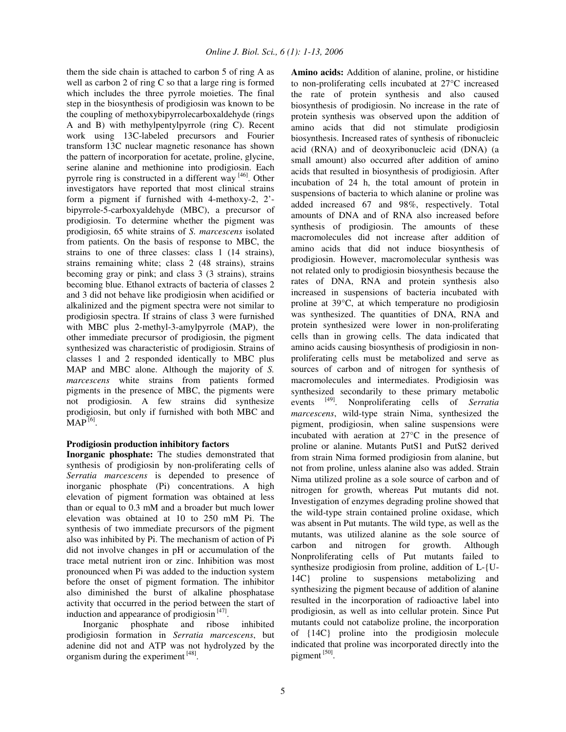them the side chain is attached to carbon 5 of ring A as well as carbon 2 of ring C so that a large ring is formed which includes the three pyrrole moieties. The final step in the biosynthesis of prodigiosin was known to be the coupling of methoxybipyrrolecarboxaldehyde (rings A and B) with methylpentylpyrrole (ring C). Recent work using 13C-labeled precursors and Fourier transform 13C nuclear magnetic resonance has shown the pattern of incorporation for acetate, proline, glycine, serine alanine and methionine into prodigiosin. Each pyrrole ring is constructed in a different way [46]. Other investigators have reported that most clinical strains form a pigment if furnished with 4-methoxy-2, 2' bipyrrole-5-carboxyaldehyde (MBC), a precursor of prodigiosin. To determine whether the pigment was prodigiosin, 65 white strains of *S. marcescens* isolated from patients. On the basis of response to MBC, the strains to one of three classes: class 1 (14 strains), strains remaining white; class 2 (48 strains), strains becoming gray or pink; and class 3 (3 strains), strains becoming blue. Ethanol extracts of bacteria of classes 2 and 3 did not behave like prodigiosin when acidified or alkalinized and the pigment spectra were not similar to prodigiosin spectra. If strains of class 3 were furnished with MBC plus 2-methyl-3-amylpyrrole (MAP), the other immediate precursor of prodigiosin, the pigment synthesized was characteristic of prodigiosin. Strains of classes 1 and 2 responded identically to MBC plus MAP and MBC alone. Although the majority of *S. marcescens* white strains from patients formed pigments in the presence of MBC, the pigments were not prodigiosin. A few strains did synthesize prodigiosin, but only if furnished with both MBC and  $MAP<sup>[6]</sup>$ .

#### **Prodigiosin production inhibitory factors**

**Inorganic phosphate:** The studies demonstrated that synthesis of prodigiosin by non-proliferating cells of *Serratia marcescens* is depended to presence of inorganic phosphate (Pi) concentrations. A high elevation of pigment formation was obtained at less than or equal to 0.3 mM and a broader but much lower elevation was obtained at 10 to 250 mM Pi. The synthesis of two immediate precursors of the pigment also was inhibited by Pi. The mechanism of action of Pi did not involve changes in pH or accumulation of the trace metal nutrient iron or zinc. Inhibition was most pronounced when Pi was added to the induction system before the onset of pigment formation. The inhibitor also diminished the burst of alkaline phosphatase activity that occurred in the period between the start of induction and appearance of prodigiosin<sup>[47]</sup>.

Inorganic phosphate and ribose inhibited prodigiosin formation in *Serratia marcescens*, but adenine did not and ATP was not hydrolyzed by the organism during the experiment<sup>[48]</sup>.

**Amino acids:** Addition of alanine, proline, or histidine to non-proliferating cells incubated at 27°C increased the rate of protein synthesis and also caused biosynthesis of prodigiosin. No increase in the rate of protein synthesis was observed upon the addition of amino acids that did not stimulate prodigiosin biosynthesis. Increased rates of synthesis of ribonucleic acid (RNA) and of deoxyribonucleic acid (DNA) (a small amount) also occurred after addition of amino acids that resulted in biosynthesis of prodigiosin. After incubation of 24 h, the total amount of protein in suspensions of bacteria to which alanine or proline was added increased 67 and 98%, respectively. Total amounts of DNA and of RNA also increased before synthesis of prodigiosin. The amounts of these macromolecules did not increase after addition of amino acids that did not induce biosynthesis of prodigiosin. However, macromolecular synthesis was not related only to prodigiosin biosynthesis because the rates of DNA, RNA and protein synthesis also increased in suspensions of bacteria incubated with proline at 39°C, at which temperature no prodigiosin was synthesized. The quantities of DNA, RNA and protein synthesized were lower in non-proliferating cells than in growing cells. The data indicated that amino acids causing biosynthesis of prodigiosin in nonproliferating cells must be metabolized and serve as sources of carbon and of nitrogen for synthesis of macromolecules and intermediates. Prodigiosin was synthesized secondarily to these primary metabolic events [49] . Nonproliferating cells of *Serratia marcescens*, wild-type strain Nima, synthesized the pigment, prodigiosin, when saline suspensions were incubated with aeration at 27°C in the presence of proline or alanine. Mutants PutS1 and PutS2 derived from strain Nima formed prodigiosin from alanine, but not from proline, unless alanine also was added. Strain Nima utilized proline as a sole source of carbon and of nitrogen for growth, whereas Put mutants did not. Investigation of enzymes degrading proline showed that the wild-type strain contained proline oxidase, which was absent in Put mutants. The wild type, as well as the mutants, was utilized alanine as the sole source of carbon and nitrogen for growth. Although Nonproliferating cells of Put mutants failed to synthesize prodigiosin from proline, addition of L-{U-14C} proline to suspensions metabolizing and synthesizing the pigment because of addition of alanine resulted in the incorporation of radioactive label into prodigiosin, as well as into cellular protein. Since Put mutants could not catabolize proline, the incorporation of {14C} proline into the prodigiosin molecule indicated that proline was incorporated directly into the pigment<sup>[50]</sup>.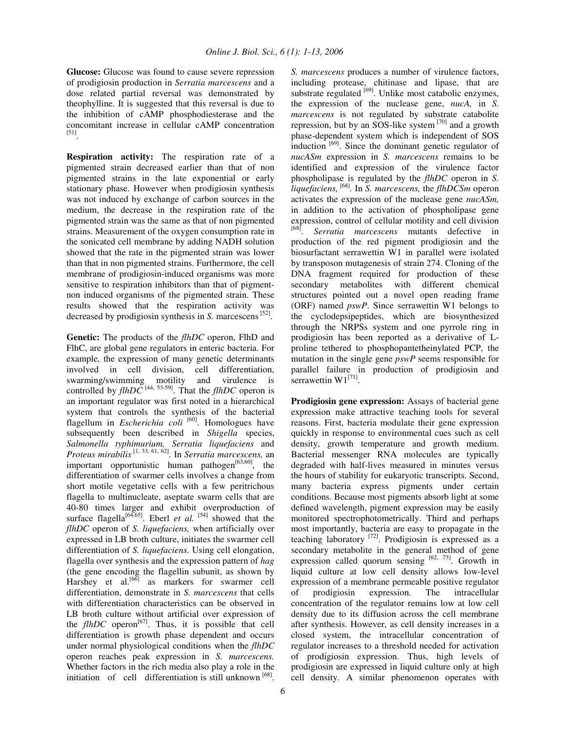**Glucose:** Glucose was found to cause severe repression of prodigiosin production in *Serratia marcescens* and a dose related partial reversal was demonstrated by theophylline. It is suggested that this reversal is due to the inhibition of cAMP phosphodiesterase and the concomitant increase in cellular cAMP concentration [51] .

**Respiration activity:** The respiration rate of a pigmented strain decreased earlier than that of non pigmented strains in the late exponential or early stationary phase. However when prodigiosin synthesis was not induced by exchange of carbon sources in the medium, the decrease in the respiration rate of the pigmented strain was the same as that of non pigmented strains. Measurement of the oxygen consumption rate in the sonicated cell membrane by adding NADH solution showed that the rate in the pigmented strain was lower than that in non pigmented strains. Furthermore, the cell membrane of prodigiosin-induced organisms was more sensitive to respiration inhibitors than that of pigmentnon induced organisms of the pigmented strain. These results showed that the respiration activity was decreased by prodigiosin synthesis in *S*. marcescens<sup>[52]</sup>.

**Genetic:** The products of the *flhDC* operon, FlhD and FlhC, are global gene regulators in enteric bacteria. For example, the expression of many genetic determinants involved in cell division, cell differentiation, swarming/swimming motility and virulence is controlled by  $flhDC$ <sup>[44, 53-59]</sup>. That the  $flhDC$  operon is an important regulator was first noted in a hierarchical system that controls the synthesis of the bacterial flagellum in *Escherichia coli*<sup>[60]</sup>. Homologues have subsequently been described in *Shigella* species, *Salmonella typhimurium, Serratia liquefaciens* and *Proteus mirabilis* [1, 33, 61, 62] . In *Serratia marcescens,* an important opportunistic human pathogen<sup>[63,60]</sup>, the differentiation of swarmer cells involves a change from short motile vegetative cells with a few peritrichous flagella to multinucleate, aseptate swarm cells that are 40-80 times larger and exhibit overproduction of surface flagella<sup>[64,65]</sup>. Eberl *et al.* <sup>[54]</sup> showed that the *flhDC* operon of *S. liquefaciens,* when artificially over expressed in LB broth culture, initiates the swarmer cell differentiation of *S. liquefaciens.* Using cell elongation, flagella over synthesis and the expression pattern of *hag* (the gene encoding the flagellin subunit, as shown by Harshey et al.<sup>[66]</sup> as markers for swarmer cell differentiation, demonstrate in *S. marcescens* that cells with differentiation characteristics can be observed in LB broth culture without artificial over expression of the  $flhDC$  operon<sup>[67]</sup>. Thus, it is possible that cell differentiation is growth phase dependent and occurs under normal physiological conditions when the *flhDC* operon reaches peak expression in *S. marcescens.* Whether factors in the rich media also play a role in the initiation of cell differentiation is still unknown [68].

*S. marcescens* produces a number of virulence factors, including protease, chitinase and lipase, that are substrate regulated <sup>[69]</sup>. Unlike most catabolic enzymes, the expression of the nuclease gene, *nucA,* in *S. marcescens* is not regulated by substrate catabolite repression, but by an SOS-like system  $[70]$  and a growth phase-dependent system which is independent of SOS induction<sup>[69]</sup>. Since the dominant genetic regulator of *nucASm* expression in *S. marcescens* remains to be identified and expression of the virulence factor phospholipase is regulated by the *flhDC* operon in *S. liquefaciens,* [68] *.* In *S. marcescens,* the *flhDCSm* operon activates the expression of the nuclease gene *nucASm,* in addition to the activation of phospholipase gene expression, control of cellular motility and cell division [68] . *Serratia marcescens* mutants defective in production of the red pigment prodigiosin and the biosurfactant serrawettin W1 in parallel were isolated by transposon mutagenesis of strain 274. Cloning of the DNA fragment required for production of these secondary metabolites with different chemical structures pointed out a novel open reading frame (ORF) named *pswP*. Since serrawettin W1 belongs to the cyclodepsipeptides, which are biosynthesized through the NRPSs system and one pyrrole ring in prodigiosin has been reported as a derivative of Lproline tethered to phosphopantetheinylated PCP, the mutation in the single gene *pswP* seems responsible for parallel failure in production of prodigiosin and serrawettin  $W1^{[71]}$ .

**Prodigiosin gene expression:** Assays of bacterial gene expression make attractive teaching tools for several reasons. First, bacteria modulate their gene expression quickly in response to environmental cues such as cell density, growth temperature and growth medium. Bacterial messenger RNA molecules are typically degraded with half-lives measured in minutes versus the hours of stability for eukaryotic transcripts. Second, many bacteria express pigments under certain conditions. Because most pigments absorb light at some defined wavelength, pigment expression may be easily monitored spectrophotometrically. Third and perhaps most importantly, bacteria are easy to propagate in the teaching laboratory<sup>[72]</sup>. Prodigiosin is expressed as a secondary metabolite in the general method of gene expression called quorum sensing  $[62, 73]$ . Growth in liquid culture at low cell density allows low-level expression of a membrane permeable positive regulator of prodigiosin expression. The intracellular concentration of the regulator remains low at low cell density due to its diffusion across the cell membrane after synthesis. However, as cell density increases in a closed system, the intracellular concentration of regulator increases to a threshold needed for activation of prodigiosin expression. Thus, high levels of prodigiosin are expressed in liquid culture only at high cell density. A similar phenomenon operates with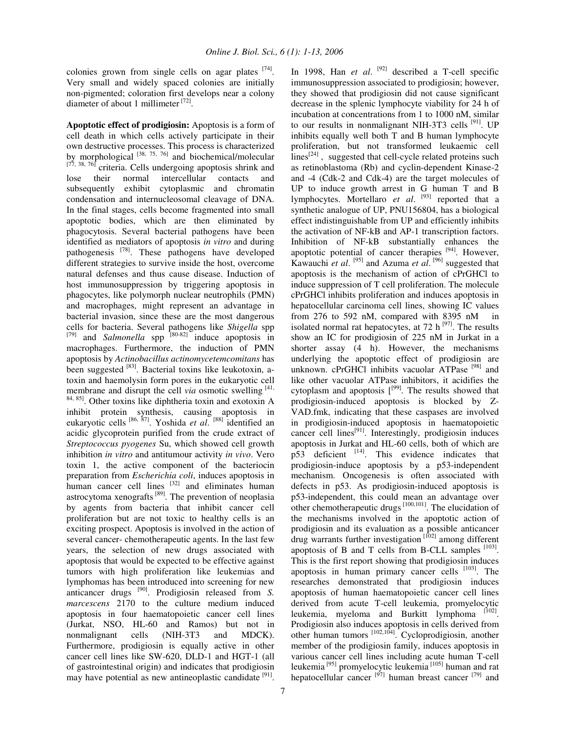colonies grown from single cells on agar plates  $[74]$ . Very small and widely spaced colonies are initially non-pigmented; coloration first develops near a colony diameter of about 1 millimeter<sup>[72]</sup>.

**Apoptotic effect of prodigiosin:** Apoptosis is a form of cell death in which cells actively participate in their own destructive processes. This process is characterized by morphological  $[38, 75, 76]$  and biochemical/molecular  $[77, 38, 76]$  criteria. Cells undergoing apoptosis shrink and lose their normal intercellular contacts and subsequently exhibit cytoplasmic and chromatin condensation and internucleosomal cleavage of DNA. In the final stages, cells become fragmented into small apoptotic bodies, which are then eliminated by phagocytosis. Several bacterial pathogens have been identified as mediators of apoptosis *in vitro* and during pathogenesis <sup>[78]</sup>. These pathogens have developed different strategies to survive inside the host, overcome natural defenses and thus cause disease. Induction of host immunosuppression by triggering apoptosis in phagocytes, like polymorph nuclear neutrophils (PMN) and macrophages, might represent an advantage in bacterial invasion, since these are the most dangerous cells for bacteria. Several pathogens like *Shigella* spp [79] and *Salmonella* spp [80-82] induce apoptosis in macrophages. Furthermore, the induction of PMN apoptosis by *Actinobacillus actinomycetemcomitans* has been suggested [83]. Bacterial toxins like leukotoxin, atoxin and haemolysin form pores in the eukaryotic cell membrane and disrupt the cell *via* osmotic swelling [41, <sup>84, 85</sup>]. Other toxins like diphtheria toxin and exotoxin A inhibit protein synthesis, causing apoptosis in eukaryotic cells [86, 87] . Yoshida *et al*. [88] identified an acidic glycoprotein purified from the crude extract of *Streptococcus pyogenes* Su, which showed cell growth inhibition *in vitro* and antitumour activity *in vivo*. Vero toxin 1, the active component of the bacteriocin preparation from *Escherichia coli*, induces apoptosis in human cancer cell lines <sup>[32]</sup> and eliminates human astrocytoma xenografts<sup>[89]</sup>. The prevention of neoplasia by agents from bacteria that inhibit cancer cell proliferation but are not toxic to healthy cells is an exciting prospect. Apoptosis is involved in the action of several cancer- chemotherapeutic agents. In the last few years, the selection of new drugs associated with apoptosis that would be expected to be effective against tumors with high proliferation like leukemias and lymphomas has been introduced into screening for new anticancer drugs<sup>[90]</sup>. Prodigiosin released from *S*. *marcescens* 2170 to the culture medium induced apoptosis in four haematopoietic cancer cell lines (Jurkat, NSO, HL-60 and Ramos) but not in nonmalignant cells (NIH-3T3 and MDCK). Furthermore, prodigiosin is equally active in other cancer cell lines like SW-620, DLD-1 and HGT-1 (all of gastrointestinal origin) and indicates that prodigiosin may have potential as new antineoplastic candidate <sup>[91]</sup>.

7

In 1998, Han *et al.* <sup>[92]</sup> described a T-cell specific immunosuppression associated to prodigiosin; however, they showed that prodigiosin did not cause significant decrease in the splenic lymphocyte viability for 24 h of incubation at concentrations from 1 to 1000 nM, similar to our results in nonmalignant NIH-3T3 cells <sup>[91]</sup>. UP inhibits equally well both T and B human lymphocyte proliferation, but not transformed leukaemic cell lines<sup>[24]</sup>, suggested that cell-cycle related proteins such as retinoblastoma (Rb) and cyclin-dependent Kinase-2 and -4 (Cdk-2 and Cdk-4) are the target molecules of UP to induce growth arrest in G human T and B lymphocytes. Mortellaro *et al*. [93] reported that a synthetic analogue of UP, PNU156804, has a biological effect indistinguishable from UP and efficiently inhibits the activation of NF-kB and AP-1 transcription factors. Inhibition of NF-kB substantially enhances the apoptotic potential of cancer therapies <sup>[94]</sup>. However, Kawauchi *et al*. [95] and Azuma *et al*. [96] suggested that apoptosis is the mechanism of action of cPrGHCl to induce suppression of T cell proliferation. The molecule cPrGHCl inhibits proliferation and induces apoptosis in hepatocellular carcinoma cell lines, showing IC values from 276 to 592 nM, compared with 8395 nM in isolated normal rat hepatocytes, at 72 h  $[97]$ . The results show an IC for prodigiosin of 225 nM in Jurkat in a shorter assay (4 h). However, the mechanisms underlying the apoptotic effect of prodigiosin are unknown. cPrGHCl inhibits vacuolar ATPase<sup>[98]</sup> and like other vacuolar ATPase inhibitors, it acidifies the cytoplasm and apoptosis  $[{}^{[99]}$ . The results showed that prodigiosin-induced apoptosis is blocked by Z-VAD.fmk, indicating that these caspases are involved in prodigiosin-induced apoptosis in haematopoietic cancer cell lines<sup>[91]</sup>. Interestingly, prodigiosin induces apoptosis in Jurkat and HL-60 cells, both of which are p53 deficient <sup>[14]</sup>. This evidence indicates that prodigiosin-induce apoptosis by a p53-independent mechanism. Oncogenesis is often associated with defects in p53. As prodigiosin-induced apoptosis is p53-independent, this could mean an advantage over other chemotherapeutic drugs [100,101]. The elucidation of the mechanisms involved in the apoptotic action of prodigiosin and its evaluation as a possible anticancer drug warrants further investigation <a>[102]</a> among different apoptosis of B and T cells from B-CLL samples [103]. This is the first report showing that prodigiosin induces apoptosis in human primary cancer cells [103]. The researches demonstrated that prodigiosin induces apoptosis of human haematopoietic cancer cell lines derived from acute T-cell leukemia, promyelocytic leukemia, myeloma and Burkitt lymphoma <sup>[102]</sup>. Prodigiosin also induces apoptosis in cells derived from other human tumors <sup>[102,104]</sup>. Cycloprodigiosin, another member of the prodigiosin family, induces apoptosis in various cancer cell lines including acute human T-cell leukemia <sup>[95]</sup> promyelocytic leukemia <sup>[105]</sup> human and rat hepatocellular cancer<sup>[97]</sup> human breast cancer<sup>[79]</sup> and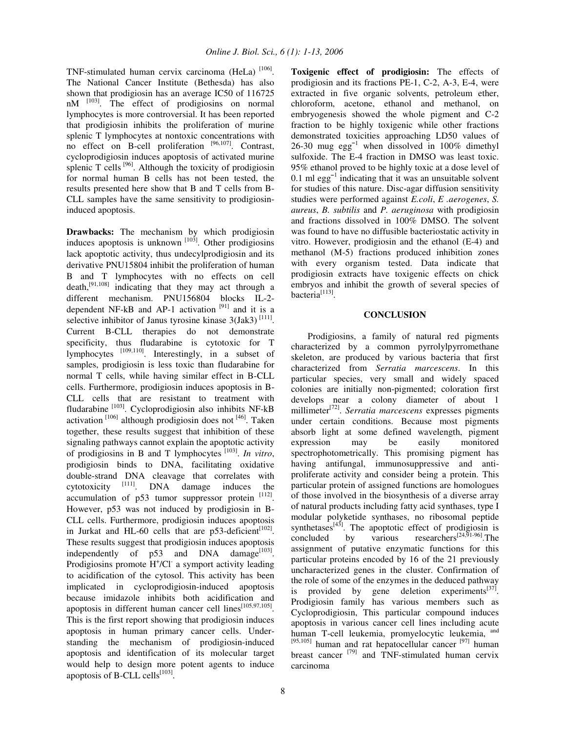TNF-stimulated human cervix carcinoma (HeLa)<sup>[106]</sup>. The National Cancer Institute (Bethesda) has also shown that prodigiosin has an average IC50 of 116725 nM<sup>[103]</sup>. The effect of prodigiosins on normal lymphocytes is more controversial. It has been reported that prodigiosin inhibits the proliferation of murine splenic T lymphocytes at nontoxic concentrations with no effect on B-cell proliferation<sup>[96,107]</sup>. Contrast, cycloprodigiosin induces apoptosis of activated murine splenic T cells<sup>[96]</sup>. Although the toxicity of prodigiosin for normal human B cells has not been tested, the results presented here show that B and T cells from B-CLL samples have the same sensitivity to prodigiosininduced apoptosis.

**Drawbacks:** The mechanism by which prodigiosin induces apoptosis is unknown [103]. Other prodigiosins lack apoptotic activity, thus undecylprodigiosin and its derivative PNU15804 inhibit the proliferation of human B and T lymphocytes with no effects on cell  $death, [91,108]$  indicating that they may act through a different mechanism. PNU156804 blocks IL-2 dependent NF-kB and AP-1 activation  $[91]$  and it is a selective inhibitor of Janus tyrosine kinase  $3(Jak3)^{[111]}$ . Current B-CLL therapies do not demonstrate specificity, thus fludarabine is cytotoxic for T lymphocytes <sup>[109,110]</sup>. Interestingly, in a subset of samples, prodigiosin is less toxic than fludarabine for normal T cells, while having similar effect in B-CLL cells. Furthermore, prodigiosin induces apoptosis in B-CLL cells that are resistant to treatment with fludarabine <a>[103]</a>. Cycloprodigiosin also inhibits NF-kB activation<sup>[106]</sup> although prodigiosin does not<sup>[46]</sup>. Taken together, these results suggest that inhibition of these signaling pathways cannot explain the apoptotic activity of prodigiosins in B and T lymphocytes [103] . *In vitro*, prodigiosin binds to DNA, facilitating oxidative double-strand DNA cleavage that correlates with cytotoxicity  $[111]$ . DNA damage induces the accumulation of p53 tumor suppressor protein [112]. However, p53 was not induced by prodigiosin in B-CLL cells. Furthermore, prodigiosin induces apoptosis in Jurkat and HL-60 cells that are p53-deficient  $[102]$ . These results suggest that prodigiosin induces apoptosis independently of  $p53$  and DNA damage<sup>[103]</sup>. Prodigiosins promote H<sup>+</sup>/Cl a symport activity leading to acidification of the cytosol. This activity has been implicated in cycloprodigiosin-induced apoptosis because imidazole inhibits both acidification and apoptosis in different human cancer cell lines<sup>[105,97,105]</sup>. This is the first report showing that prodigiosin induces apoptosis in human primary cancer cells. Understanding the mechanism of prodigiosin-induced apoptosis and identification of its molecular target would help to design more potent agents to induce apoptosis of B-CLL cells<sup>[103]</sup>.

**Toxigenic effect of prodigiosin:** The effects of prodigiosin and its fractions PE-1, C-2, A-3, E-4, were extracted in five organic solvents, petroleum ether, chloroform, acetone, ethanol and methanol, on embryogenesis showed the whole pigment and C-2 fraction to be highly toxigenic while other fractions demonstrated toxicities approaching LD50 values of 26-30 mug egg <sup>1</sup> when dissolved in 100% dimethyl sulfoxide. The E-4 fraction in DMSO was least toxic. 95% ethanol proved to be highly toxic at a dose level of 0.1 ml  $egg^{-1}$  indicating that it was an unsuitable solvent for studies of this nature. Disc-agar diffusion sensitivity studies were performed against *E.coli*, *E .aerogenes*, *S. aureus*, *B. subtilis* and *P. aeruginosa* with prodigiosin and fractions dissolved in 100% DMSO. The solvent was found to have no diffusible bacteriostatic activity in vitro. However, prodigiosin and the ethanol (E-4) and methanol (M-5) fractions produced inhibition zones with every organism tested. Data indicate that prodigiosin extracts have toxigenic effects on chick embryos and inhibit the growth of several species of bacteria<sup>[113]</sup>.

#### **CONCLUSION**

Prodigiosins, a family of natural red pigments characterized by a common pyrrolylpyrromethane skeleton, are produced by various bacteria that first characterized from *Serratia marcescens*. In this particular species, very small and widely spaced colonies are initially non-pigmented; coloration first develops near a colony diameter of about 1 millimeter [72] . *Serratia marcescens* expresses pigments under certain conditions. Because most pigments absorb light at some defined wavelength, pigment expression may be easily monitored spectrophotometrically. This promising pigment has having antifungal, immunosuppressive and antiproliferate activity and consider being a protein. This particular protein of assigned functions are homologues of those involved in the biosynthesis of a diverse array of natural products including fatty acid synthases, type I modular polyketide synthases, no ribosomal peptide synthetases $^{[43]}$ . The apoptotic effect of prodigiosin is concluded by various  $^{[24,\overline{9}1-96]}\cdot$ The assignment of putative enzymatic functions for this particular proteins encoded by 16 of the 21 previously uncharacterized genes in the cluster. Confirmation of the role of some of the enzymes in the deduced pathway is provided by gene deletion experiments $^{[37]}$ . Prodigiosin family has various members such as Cycloprodigiosin, This particular compound induces apoptosis in various cancer cell lines including acute human T-cell leukemia, promyelocytic leukemia, and [95,105] human and rat hepatocellular cancer<sup>[97]</sup> human breast cancer<sup>[79]</sup> and TNF-stimulated human cervix carcinoma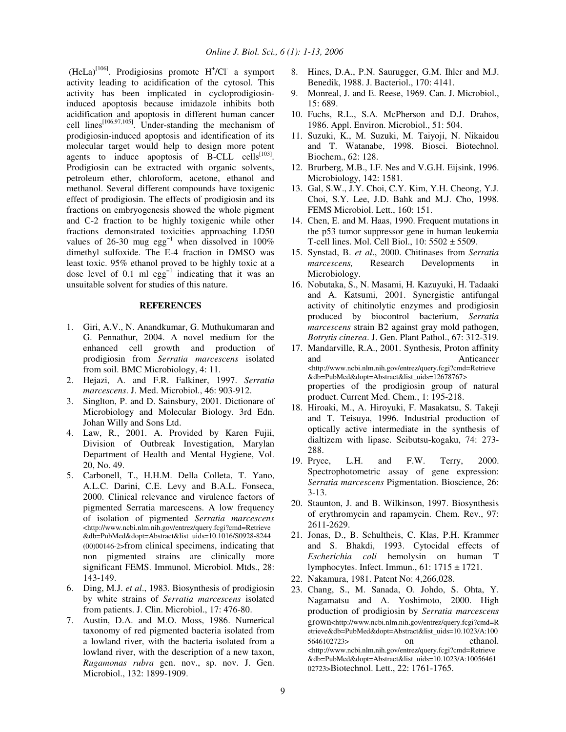(HeLa)<sup>[106]</sup>. Prodigiosins promote H<sup>+</sup>/Cl<sup>-</sup> a symport activity leading to acidification of the cytosol. This activity has been implicated in cycloprodigiosininduced apoptosis because imidazole inhibits both acidification and apoptosis in different human cancer cell lines<sup>[106,97,105]</sup>. Under-standing the mechanism of prodigiosin-induced apoptosis and identification of its molecular target would help to design more potent agents to induce apoptosis of B-CLL cells<sup>[103]</sup>. Prodigiosin can be extracted with organic solvents, petroleum ether, chloroform, acetone, ethanol and methanol. Several different compounds have toxigenic effect of prodigiosin. The effects of prodigiosin and its fractions on embryogenesis showed the whole pigment and C-2 fraction to be highly toxigenic while other fractions demonstrated toxicities approaching LD50 values of 26-30 mug egg<sup>-1</sup> when dissolved in  $100\%$ dimethyl sulfoxide. The E-4 fraction in DMSO was least toxic. 95% ethanol proved to be highly toxic at a dose level of 0.1 ml  $egg^{-1}$  indicating that it was an unsuitable solvent for studies of this nature.

## **REFERENCES**

- 1. Giri, A.V., N. Anandkumar, G. Muthukumaran and G. Pennathur, 2004. A novel medium for the enhanced cell growth and production of prodigiosin from *Serratia marcescens* isolated from soil. BMC Microbiology, 4: 11.
- 2. Hejazi, A. and F.R. Falkiner, 1997. *Serratia marcescens*. J. Med. Microbiol., 46: 903-912.
- 3. Singlton, P. and D. Sainsbury, 2001. Dictionare of Microbiology and Molecular Biology. 3rd Edn. Johan Willy and Sons Ltd.
- 4. Law, R., 2001. A. Provided by Karen Fujii, Division of Outbreak Investigation, Marylan Department of Health and Mental Hygiene, Vol. 20, No. 49.
- 5. Carbonell, T., H.H.M. Della Colleta, T. Yano, A.L.C. Darini, C.E. Levy and B.A.L. Fonseca, 2000. Clinical relevance and virulence factors of pigmented Serratia marcescens. A low frequency of isolation of pigmented *Serratia marcescens* <http://www.ncbi.nlm.nih.gov/entrez/query.fcgi?cmd=Retrieve &db=PubMed&dopt=Abstract&list\_uids=10.1016/S0928-8244 (00)00146-2>from clinical specimens, indicating that non pigmented strains are clinically more significant FEMS. Immunol. Microbiol. Mtds., 28: 143-149.
- 6. Ding, M.J. *et al*., 1983. Biosynthesis of prodigiosin by white strains of *Serratia marcescens* isolated from patients. J. Clin. Microbiol., 17: 476-80.
- 7. Austin, D.A. and M.O. Moss, 1986. Numerical taxonomy of red pigmented bacteria isolated from a lowland river, with the bacteria isolated from a lowland river, with the description of a new taxon, *Rugamonas rubra* gen. nov., sp. nov. J. Gen. Microbiol., 132: 1899-1909.
- 8. Hines, D.A., P.N. Saurugger, G.M. Ihler and M.J. Benedik, 1988. J. Bacteriol., 170: 4141.
- 9. Monreal, J. and E. Reese, 1969. Can. J. Microbiol., 15: 689.
- 10. Fuchs, R.L., S.A. McPherson and D.J. Drahos, 1986. Appl. Environ. Microbiol., 51: 504.
- 11. Suzuki, K., M. Suzuki, M. Taiyoji, N. Nikaidou and T. Watanabe, 1998. Biosci. Biotechnol. Biochem., 62: 128.
- 12. Brurberg, M.B., I.F. Nes and V.G.H. Eijsink, 1996. Microbiology, 142: 1581.
- 13. Gal, S.W., J.Y. Choi, C.Y. Kim, Y.H. Cheong, Y.J. Choi, S.Y. Lee, J.D. Bahk and M.J. Cho, 1998. FEMS Microbiol. Lett., 160: 151.
- 14. Chen, E. and M. Haas, 1990. Frequent mutations in the p53 tumor suppressor gene in human leukemia T-cell lines. Mol. Cell Biol., 10: 5502 ± 5509.
- 15. Synstad, B. *et al*., 2000. Chitinases from *Serratia marcescens,* Research Developments in Microbiology.
- 16. Nobutaka, S., N. Masami, H. Kazuyuki, H. Tadaaki and A. Katsumi, 2001. Synergistic antifungal activity of chitinolytic enzymes and prodigiosin produced by biocontrol bacterium, *Serratia marcescens* strain B2 against gray mold pathogen, *Botrytis cinerea*. J. Gen. Plant Pathol., 67: 312-319.
- 17. Mandarville, R.A., 2001. Synthesis, Proton affinity and Anticancer <http://www.ncbi.nlm.nih.gov/entrez/query.fcgi?cmd=Retrieve &db=PubMed&dopt=Abstract&list\_uids=12678767> properties of the prodigiosin group of natural product. Current Med. Chem., 1: 195-218.
- 18. Hiroaki, M., A. Hiroyuki, F. Masakatsu, S. Takeji and T. Teisuya, 1996. Industrial production of optically active intermediate in the synthesis of dialtizem with lipase. Seibutsu-kogaku, 74: 273- 288.
- 19. Pryce, L.H. and F.W. Terry, 2000. Spectrophotometric assay of gene expression: *Serratia marcescens* Pigmentation. Bioscience, 26: 3-13.
- 20. Staunton, J. and B. Wilkinson, 1997. Biosynthesis of erythromycin and rapamycin. Chem. Rev., 97: 2611-2629.
- 21. Jonas, D., B. Schultheis, C. Klas, P.H. Krammer and S. Bhakdi, 1993. Cytocidal effects of *Escherichia coli* hemolysin on human T lymphocytes. Infect. Immun., 61: 1715 ± 1721.
- 22. Nakamura, 1981. Patent No: 4,266,028.
- 23. Chang, S., M. Sanada, O. Johdo, S. Ohta, Y. Nagamatsu and A. Yoshimoto, 2000. High production of prodigiosin by *Serratia marcescens* grown<http://www.ncbi.nlm.nih.gov/entrez/query.fcgi?cmd=R etrieve&db=PubMed&dopt=Abstract&list\_uids=10.1023/A:100 5646102723> on ethanol. <http://www.ncbi.nlm.nih.gov/entrez/query.fcgi?cmd=Retrieve &db=PubMed&dopt=Abstract&list\_uids=10.1023/A:10056461 02723>Biotechnol. Lett., 22: 1761-1765.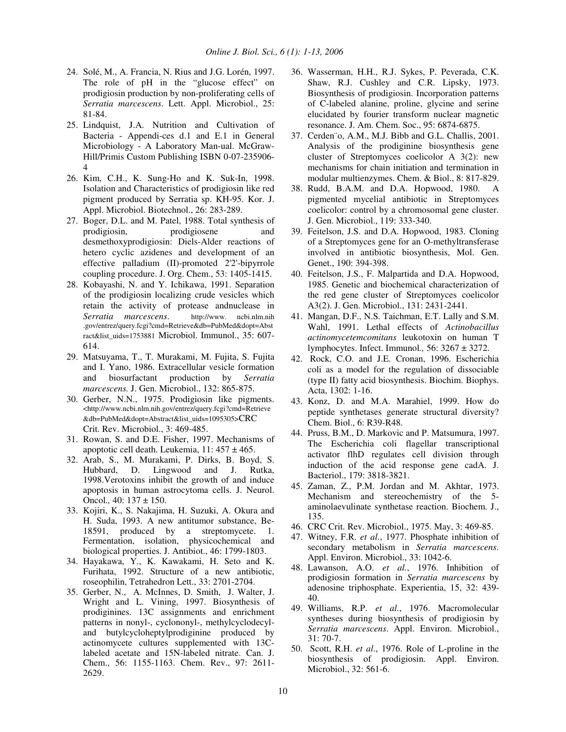- 24. Solé, M., A. Francia, N. Rius and J.G. Lorén, 1997. The role of pH in the "glucose effect" on prodigiosin production by non-proliferating cells of *Serratia marcescens*. Lett. Appl. Microbiol., 25: 81-84.
- 25. Lindquist, J.A. Nutrition and Cultivation of Bacteria - Appendi-ces d.1 and E.1 in General Microbiology - A Laboratory Man-ual. McGraw-Hill/Primis Custom Publishing ISBN 0-07-235906- 4
- 26. Kim, C.H., K. Sung-Ho and K. Suk-In, 1998. Isolation and Characteristics of prodigiosin like red pigment produced by Serratia sp. KH-95. Kor. J. Appl. Microbiol. Biotechnol., 26: 283-289.
- 27. Boger, D.L. and M. Patel, 1988. Total synthesis of prodigiosin, prodigiosene and desmethoxyprodigiosin: Diels-Alder reactions of hetero cyclic azidenes and development of an effective palladium (II)-promoted 2'2'-bipyrrole coupling procedure. J. Org. Chem., 53: 1405-1415.
- 28. Kobayashi, N. and Y. Ichikawa, 1991. Separation of the prodigiosin localizing crude vesicles which retain the activity of protease andnuclease in *Serratia marcescens*. http://www. ncbi.nlm.nih .gov/entrez/query.fcgi?cmd=Retrieve&db=PubMed&dopt=Abst ract&list\_uids=1753881 Microbiol. Immunol., 35: 607- 614.
- 29. Matsuyama, T., T. Murakami, M. Fujita, S. Fujita and I. Yano, 1986. Extracellular vesicle formation and biosurfactant production by *Serratia marcescens.* J. Gen. Microbiol., 132: 865-875.
- 30. Gerber, N.N., 1975. Prodigiosin like pigments. <http://www.ncbi.nlm.nih.gov/entrez/query.fcgi?cmd=Retrieve &db=PubMed&dopt=Abstract&list\_uids=1095305>CRC Crit. Rev. Microbiol., 3: 469-485.
- 31. Rowan, S. and D.E. Fisher, 1997. Mechanisms of apoptotic cell death. Leukemia,  $11: 457 \pm 465$ .
- 32. Arab, S., M. Murakami, P. Dirks, B. Boyd, S. Hubbard, D. Lingwood and J. Rutka, 1998.Verotoxins inhibit the growth of and induce apoptosis in human astrocytoma cells. J. Neurol. Oncol*.,* 40: 137 ± 150.
- 33. Kojiri, K., S. Nakajima, H. Suzuki, A. Okura and H. Suda, 1993. A new antitumor substance, Be-18591, produced by a streptomycete. 1. Fermentation, isolation, physicochemical and biological properties. J. Antibiot., 46: 1799-1803.
- 34. Hayakawa, Y., K. Kawakami, H. Seto and K. Furihata, 1992. Structure of a new antibiotic, roseophilin, Tetrahedron Lett., 33: 2701-2704.
- 35. Gerber, N., A. McInnes, D. Smith, J. Walter, J. Wright and L. Vining, 1997. Biosynthesis of prodiginines. 13C assignments and enrichment patterns in nonyl-, cyclononyl-, methylcyclodecyland butylcycloheptylprodiginine produced by actinomycete cultures supplemented with 13Clabeled acetate and 15N-labeled nitrate. Can. J. Chem., 56: 1155-1163. Chem. Rev., 97: 2611- 2629.
- 36. Wasserman, H.H., R.J. Sykes, P. Peverada, C.K. Shaw, R.J. Cushley and C.R. Lipsky, 1973. Biosynthesis of prodigiosin. Incorporation patterns of C-labeled alanine, proline, glycine and serine elucidated by fourier transform nuclear magnetic resonance. J. Am. Chem. Soc., 95: 6874-6875.
- 37. Cerden¨o, A.M., M.J. Bibb and G.L. Challis, 2001. Analysis of the prodiginine biosynthesis gene cluster of Streptomyces coelicolor A 3(2): new mechanisms for chain initiation and termination in modular multienzymes. Chem. & Biol., 8: 817-829.
- 38. Rudd, B.A.M. and D.A. Hopwood, 1980. A pigmented mycelial antibiotic in Streptomyces coelicolor: control by a chromosomal gene cluster. J. Gen. Microbiol., 119: 333-340.
- 39. Feitelson, J.S. and D.A. Hopwood, 1983. Cloning of a Streptomyces gene for an O-methyltransferase involved in antibiotic biosynthesis, Mol. Gen. Genet., 190: 394-398.
- 40. Feitelson, J.S., F. Malpartida and D.A. Hopwood, 1985. Genetic and biochemical characterization of the red gene cluster of Streptomyces coelicolor A3(2). J. Gen. Microbiol., 131: 2431-2441.
- 41. Mangan, D.F., N.S. Taichman, E.T. Lally and S.M. Wahl, 1991. Lethal effects of *Actinobacillus actinomycetemcomitans* leukotoxin on human T lymphocytes. Infect. Immunol*.,* 56: 3267 ± 3272.
- 42. Rock, C.O. and J.E. Cronan, 1996. Escherichia coli as a model for the regulation of dissociable (type II) fatty acid biosynthesis. Biochim. Biophys. Acta, 1302: 1-16.
- 43. Konz, D. and M.A. Marahiel, 1999. How do peptide synthetases generate structural diversity? Chem. Biol., 6: R39-R48.
- 44. Pruss, B.M., D. Markovic and P. Matsumura, 1997. The Escherichia coli flagellar transcriptional activator flhD regulates cell division through induction of the acid response gene cadA. J. Bacteriol., 179: 3818-3821.
- 45. Zaman, Z., P.M. Jordan and M. Akhtar, 1973. Mechanism and stereochemistry of the 5 aminolaevulinate synthetase reaction. Biochem. J., 135.
- 46. CRC Crit. Rev. Microbiol., 1975. May, 3: 469-85.
- 47. Witney, F.R. *et al.*, 1977. Phosphate inhibition of secondary metabolism in *Serratia marcescens*. Appl. Environ. Microbiol., 33: 1042-6.
- 48. Lawanson, A.O. *et al.*, 1976. Inhibition of prodigiosin formation in *Serratia marcescens* by adenosine triphosphate. Experientia, 15, 32: 439- 40.
- 49. Williams, R.P. *et al.*, 1976. Macromolecular syntheses during biosynthesis of prodigiosin by *Serratia marcescens*. Appl. Environ. Microbiol., 31: 70-7.
- 50. Scott, R.H. *et al*., 1976. Role of L-proline in the biosynthesis of prodigiosin. Appl. Environ. Microbiol., 32: 561-6.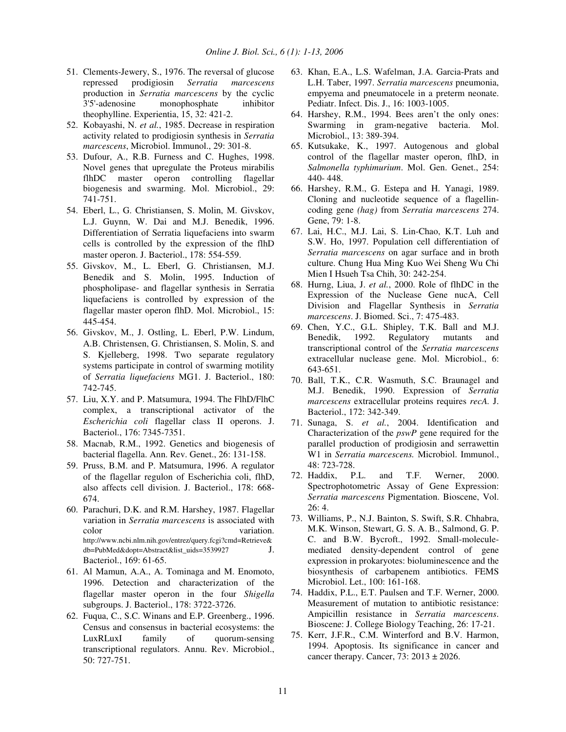- 51. Clements-Jewery, S., 1976. The reversal of glucose repressed prodigiosin *Serratia marcescens* production in *Serratia marcescens* by the cyclic 3'5'-adenosine monophosphate inhibitor theophylline. Experientia, 15, 32: 421-2.
- 52. Kobayashi, N. *et al.*, 1985. Decrease in respiration activity related to prodigiosin synthesis in *Serratia marcescens*, Microbiol. Immunol., 29: 301-8.
- 53. Dufour, A., R.B. Furness and C. Hughes, 1998. Novel genes that upregulate the Proteus mirabilis flhDC master operon controlling flagellar biogenesis and swarming. Mol. Microbiol., 29: 741-751.
- 54. Eberl, L., G. Christiansen, S. Molin, M. Givskov, L.J. Guynn, W. Dai and M.J. Benedik, 1996. Differentiation of Serratia liquefaciens into swarm cells is controlled by the expression of the flhD master operon. J. Bacteriol., 178: 554-559.
- 55. Givskov, M., L. Eberl, G. Christiansen, M.J. Benedik and S. Molin, 1995. Induction of phospholipase- and flagellar synthesis in Serratia liquefaciens is controlled by expression of the flagellar master operon flhD. Mol. Microbiol., 15: 445-454.
- 56. Givskov, M., J. Ostling, L. Eberl, P.W. Lindum, A.B. Christensen, G. Christiansen, S. Molin, S. and S. Kjelleberg, 1998. Two separate regulatory systems participate in control of swarming motility of *Serratia liquefaciens* MG1. J. Bacteriol., 180: 742-745.
- 57. Liu, X.Y. and P. Matsumura, 1994. The FlhD/FlhC complex, a transcriptional activator of the *Escherichia coli* flagellar class II operons. J. Bacteriol., 176: 7345-7351.
- 58. Macnab, R.M., 1992. Genetics and biogenesis of bacterial flagella. Ann. Rev. Genet., 26: 131-158.
- 59. Pruss, B.M. and P. Matsumura, 1996. A regulator of the flagellar regulon of Escherichia coli, flhD, also affects cell division. J. Bacteriol., 178: 668- 674.
- 60. Parachuri, D.K. and R.M. Harshey, 1987. Flagellar variation in *Serratia marcescens* is associated with color variation. http://www.ncbi.nlm.nih.gov/entrez/query.fcgi?cmd=Retrieve& db=PubMed&dopt=Abstract&list\_uids=3539927 J. Bacteriol., 169: 61-65.
- 61. Al Mamun, A.A., A. Tominaga and M. Enomoto, 1996. Detection and characterization of the flagellar master operon in the four *Shigella* subgroups. J. Bacteriol., 178: 3722-3726.
- 62. Fuqua, C., S.C. Winans and E.P. Greenberg., 1996. Census and consensus in bacterial ecosystems: the LuxRLuxI family of quorum-sensing transcriptional regulators. Annu. Rev. Microbiol., 50: 727-751.
- 63. Khan, E.A., L.S. Wafelman, J.A. Garcia-Prats and L.H. Taber, 1997. *Serratia marcescens* pneumonia, empyema and pneumatocele in a preterm neonate. Pediatr. Infect. Dis. J., 16: 1003-1005.
- 64. Harshey, R.M., 1994. Bees aren't the only ones: Swarming in gram-negative bacteria. Mol. Microbiol., 13: 389-394.
- 65. Kutsukake, K., 1997. Autogenous and global control of the flagellar master operon, flhD, in *Salmonella typhimurium*. Mol. Gen. Genet., 254: 440- 448.
- 66. Harshey, R.M., G. Estepa and H. Yanagi, 1989. Cloning and nucleotide sequence of a flagellincoding gene *(hag)* from *Serratia marcescens* 274. Gene, 79: 1-8.
- 67. Lai, H.C., M.J. Lai, S. Lin-Chao, K.T. Luh and S.W. Ho, 1997. Population cell differentiation of *Serratia marcescens* on agar surface and in broth culture. Chung Hua Ming Kuo Wei Sheng Wu Chi Mien I Hsueh Tsa Chih, 30: 242-254.
- 68. Hurng, Liua, J. *et al.*, 2000. Role of flhDC in the Expression of the Nuclease Gene nucA, Cell Division and Flagellar Synthesis in *Serratia marcescens*. J. Biomed. Sci., 7: 475-483.
- 69. Chen, Y.C., G.L. Shipley, T.K. Ball and M.J. Benedik, 1992. Regulatory mutants and transcriptional control of the *Serratia marcescens* extracellular nuclease gene. Mol. Microbiol., 6: 643-651.
- 70. Ball, T.K., C.R. Wasmuth, S.C. Braunagel and M.J. Benedik, 1990. Expression of *Serratia marcescens* extracellular proteins requires *recA.* J. Bacteriol., 172: 342-349.
- 71. Sunaga, S. *et al.*, 2004. Identification and Characterization of the *pswP* gene required for the parallel production of prodigiosin and serrawettin W1 in *Serratia marcescens.* Microbiol. Immunol., 48: 723-728.
- 72. Haddix, P.L. and T.F. Werner, 2000. Spectrophotometric Assay of Gene Expression: *Serratia marcescens* Pigmentation. Bioscene, Vol. 26: 4.
- 73. Williams, P., N.J. Bainton, S. Swift, S.R. Chhabra, M.K. Winson, Stewart, G. S. A. B., Salmond, G. P. C. and B.W. Bycroft., 1992. Small-moleculemediated density-dependent control of gene expression in prokaryotes: bioluminescence and the biosynthesis of carbapenem antibiotics. FEMS Microbiol. Let., 100: 161-168.
- 74. Haddix, P.L., E.T. Paulsen and T.F. Werner, 2000. Measurement of mutation to antibiotic resistance: Ampicillin resistance in *Serratia marcescens*. Bioscene: J. College Biology Teaching, 26: 17-21.
- 75. Kerr, J.F.R., C.M. Winterford and B.V. Harmon, 1994. Apoptosis. Its significance in cancer and cancer therapy. Cancer,  $73: 2013 \pm 2026$ .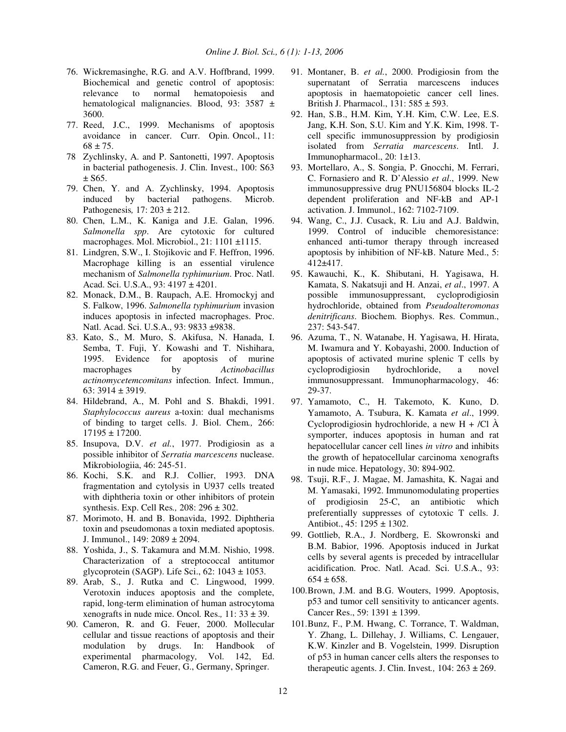- 76. Wickremasinghe, R.G. and A.V. Hoffbrand, 1999. Biochemical and genetic control of apoptosis: relevance to normal hematopoiesis and hematological malignancies. Blood, 93: 3587 ± 3600.
- 77. Reed, J.C., 1999. Mechanisms of apoptosis avoidance in cancer. Curr. Opin. Oncol., 11:  $68 \pm 75$ .
- 78 Zychlinsky, A. and P. Santonetti, 1997. Apoptosis in bacterial pathogenesis. J. Clin. Invest., 100: S63  $\pm$  S65.
- 79. Chen, Y. and A. Zychlinsky, 1994. Apoptosis induced by bacterial pathogens. Microb. Pathogenesis*,* 17: 203 ± 212.
- 80. Chen, L.M., K. Kaniga and J.E. Galan, 1996. *Salmonella spp*. Are cytotoxic for cultured macrophages. Mol. Microbiol., 21: 1101  $\pm$ 1115.
- 81. Lindgren, S.W., I. Stojikovic and F. Heffron, 1996. Macrophage killing is an essential virulence mechanism of *Salmonella typhimurium*. Proc. Natl. Acad. Sci. U.S.A., 93: 4197 ± 4201.
- 82. Monack, D.M., B. Raupach, A.E. Hromockyj and S. Falkow, 1996. *Salmonella typhimurium* invasion induces apoptosis in infected macrophages. Proc. Natl. Acad. Sci. U.S.A., 93: 9833 ±9838.
- 83. Kato, S., M. Muro, S. Akifusa, N. Hanada, I. Semba, T. Fuji, Y. Kowashi and T. Nishihara, 1995. Evidence for apoptosis of murine macrophages by *Actinobacillus actinomycetemcomitans* infection. Infect. Immun*.,* 63: 3914 ± 3919.
- 84. Hildebrand, A., M. Pohl and S. Bhakdi, 1991. *Staphylococcus aureus* a-toxin: dual mechanisms of binding to target cells. J. Biol. Chem*.,* 266:  $17195 \pm 17200$ .
- 85. Insupova, D.V. *et al.*, 1977. Prodigiosin as a possible inhibitor of *Serratia marcescens* nuclease. Mikrobiologiia, 46: 245-51.
- 86. Kochi, S.K. and R.J. Collier, 1993. DNA fragmentation and cytolysis in U937 cells treated with diphtheria toxin or other inhibitors of protein synthesis. Exp. Cell Res*.,* 208: 296 ± 302.
- 87. Morimoto, H. and B. Bonavida, 1992. Diphtheria toxin and pseudomonas a toxin mediated apoptosis. J. Immunol., 149: 2089 ± 2094.
- 88. Yoshida, J., S. Takamura and M.M. Nishio, 1998. Characterization of a streptococcal antitumor glycoprotein (SAGP). Life Sci., 62: 1043 ± 1053.
- 89. Arab, S., J. Rutka and C. Lingwood, 1999. Verotoxin induces apoptosis and the complete, rapid, long-term elimination of human astrocytoma xenografts in nude mice. Oncol. Res.,  $11:33 \pm 39$ .
- 90. Cameron, R. and G. Feuer, 2000. Mollecular cellular and tissue reactions of apoptosis and their modulation by drugs. In: Handbook of experimental pharmacology*,* Vol. 142, Ed. Cameron, R.G. and Feuer, G., Germany, Springer.
- 91. Montaner, B. *et al.*, 2000. Prodigiosin from the supernatant of Serratia marcescens induces apoptosis in haematopoietic cancer cell lines. British J. Pharmacol., 131: 585 ± 593.
- 92. Han, S.B., H.M. Kim, Y.H. Kim, C.W. Lee, E.S. Jang, K.H. Son, S.U. Kim and Y.K. Kim, 1998. Tcell specific immunosuppression by prodigiosin isolated from *Serratia marcescens*. Intl. J. Immunopharmacol., 20: 1±13.
- 93. Mortellaro, A., S. Songia, P. Gnocchi, M. Ferrari, C. Fornasiero and R. D'Alessio *et al*., 1999. New immunosuppressive drug PNU156804 blocks IL-2 dependent proliferation and NF-kB and AP-1 activation. J. Immunol., 162: 7102-7109.
- 94. Wang, C., J.J. Cusack, R. Liu and A.J. Baldwin, 1999. Control of inducible chemoresistance: enhanced anti-tumor therapy through increased apoptosis by inhibition of NF-kB. Nature Med., 5: 412±417.
- 95. Kawauchi, K., K. Shibutani, H. Yagisawa, H. Kamata, S. Nakatsuji and H. Anzai, *et al*., 1997. A possible immunosuppressant, cycloprodigiosin hydrochloride, obtained from *Pseudoalteromonas denitrificans*. Biochem. Biophys. Res. Commun., 237: 543-547.
- 96. Azuma, T., N. Watanabe, H. Yagisawa, H. Hirata, M. Iwamura and Y. Kobayashi, 2000. Induction of apoptosis of activated murine splenic T cells by cycloprodigiosin hydrochloride, a novel immunosuppressant. Immunopharmacology, 46: 29-37.
- 97. Yamamoto, C., H. Takemoto, K. Kuno, D. Yamamoto, A. Tsubura, K. Kamata *et al*., 1999. Cycloprodigiosin hydrochloride, a new  $H + /Cl$   $\hat{A}$ symporter, induces apoptosis in human and rat hepatocellular cancer cell lines *in vitro* and inhibits the growth of hepatocellular carcinoma xenografts in nude mice. Hepatology, 30: 894-902.
- 98. Tsuji, R.F., J. Magae, M. Jamashita, K. Nagai and M. Yamasaki, 1992. Immunomodulating properties of prodigiosin 25-C, an antibiotic which preferentially suppresses of cytotoxic T cells. J. Antibiot., 45: 1295 ± 1302.
- 99. Gottlieb, R.A., J. Nordberg, E. Skowronski and B.M. Babior, 1996. Apoptosis induced in Jurkat cells by several agents is preceded by intracellular acidification. Proc. Natl. Acad. Sci. U.S.A., 93:  $654 \pm 658$ .
- 100.Brown, J.M. and B.G. Wouters, 1999. Apoptosis, p53 and tumor cell sensitivity to anticancer agents. Cancer Res., 59: 1391 ± 1399.
- 101.Bunz, F., P.M. Hwang, C. Torrance, T. Waldman, Y. Zhang, L. Dillehay, J. Williams, C. Lengauer, K.W. Kinzler and B. Vogelstein, 1999. Disruption of p53 in human cancer cells alters the responses to therapeutic agents. J. Clin. Invest.,  $104: 263 \pm 269$ .